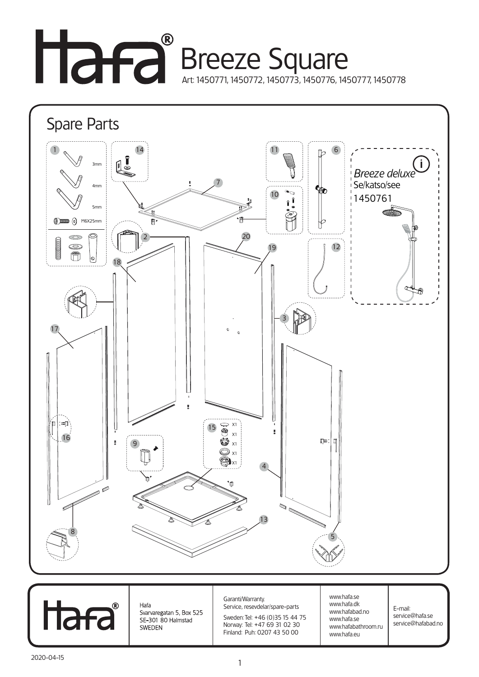## Breeze Square Art: 1450771, 1450772, 1450773, 1450776, 1450777, 1450778





Hafa - Suatu<br>Svarvaregatan 5, Box 525<br>SE-301 80 Halmstad SWEDEN

Garanti/Warranty. Service, resevdelar/spare-parts

Sweden: Tel: +46 (0)35 15 44 75 Norway: Tel: +47 69 31 02 30 Finland: Puh: 0207 43 50 00

www.hafa.se www.hafa.dk www.hafabad.no www.hafa.se www.hafabathroom.ru www.hafa.eu

E-mail: service@hafa.se service@hafabad.no